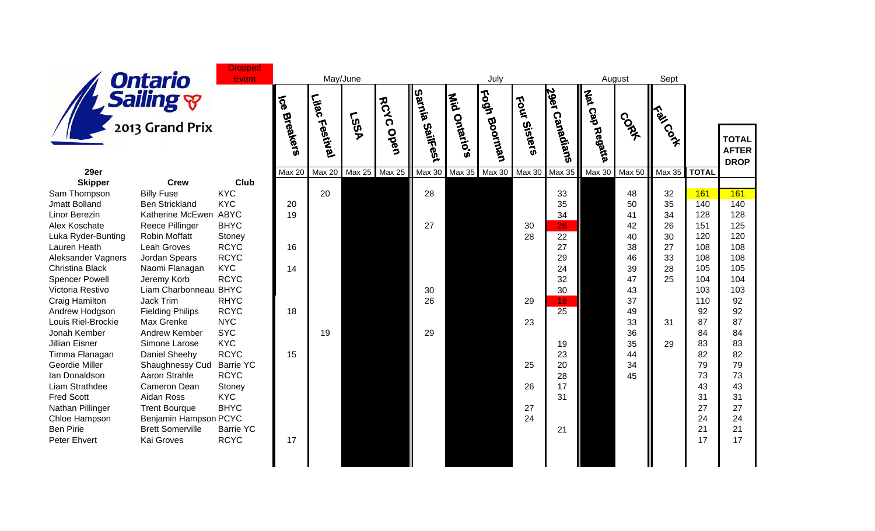

|                                       | סי יייייש                     |                            | Ò,            | <b>bc</b> |               | <b>SYC</b> | Luia     | Õ.                     | కి            | <b>OS</b>     |                                     | Cap     |             |                 |              |                                            |
|---------------------------------------|-------------------------------|----------------------------|---------------|-----------|---------------|------------|----------|------------------------|---------------|---------------|-------------------------------------|---------|-------------|-----------------|--------------|--------------------------------------------|
|                                       | 2013 Grand Prix               |                            | Breakers      | Festival  | <b>ASS1</b>   | Open       | SailFest | Ontario's<br><b>GD</b> | Boorman       | Sisters       | <sup>ar</sup> Canadian <sup>s</sup> | Pegatia | <b>COAT</b> | <b>ASSIMALE</b> |              | <b>TOTA</b><br><b>AFTEI</b><br><b>DROF</b> |
| 29er                                  |                               |                            | <b>Max 20</b> | Max 20    | <b>Max 25</b> | Max 25     | Max 30   | <b>Max 35</b>          | <b>Max 30</b> | <b>Max 30</b> | Max 35                              | Max 30  | Max 50      | Max 35          | <b>TOTAL</b> |                                            |
| <b>Skipper</b>                        | <b>Crew</b>                   | Club                       |               |           |               |            |          |                        |               |               |                                     |         |             |                 |              |                                            |
| Sam Thompson                          | <b>Billy Fuse</b>             | <b>KYC</b>                 |               | 20        |               |            | 28       |                        |               |               | 33                                  |         | 48          | 32              | 161          | 161                                        |
| <b>Jmatt Bolland</b>                  | <b>Ben Strickland</b>         | <b>KYC</b>                 | 20            |           |               |            |          |                        |               |               | 35                                  |         | 50          | 35              | 140          | 140                                        |
| Linor Berezin                         | Katherine McEwen ABYC         |                            | 19            |           |               |            |          |                        |               |               | 34                                  |         | 41          | 34              | 128          | 128                                        |
| Alex Koschate                         | <b>Reece Pillinger</b>        | <b>BHYC</b>                |               |           |               |            | 27       |                        |               | 30            | 26                                  |         | 42          | 26              | 151          | 125                                        |
| Luka Ryder-Bunting                    | <b>Robin Moffatt</b>          | Stoney                     |               |           |               |            |          |                        |               | 28            | 22                                  |         | 40          | 30              | 120          | 120                                        |
| Lauren Heath                          | Leah Groves                   | <b>RCYC</b><br><b>RCYC</b> | 16            |           |               |            |          |                        |               |               | 27<br>29                            |         | 38          | 27              | 108<br>108   | 108<br>108                                 |
| Aleksander Vagners<br>Christina Black | Jordan Spears                 | <b>KYC</b>                 | 14            |           |               |            |          |                        |               |               | 24                                  |         | 46<br>39    | 33<br>28        | 105          | 105                                        |
| <b>Spencer Powell</b>                 | Naomi Flanagan<br>Jeremy Korb | <b>RCYC</b>                |               |           |               |            |          |                        |               |               | 32                                  |         | 47          | 25              | 104          | 104                                        |
| Victoria Restivo                      | Liam Charbonneau              | <b>BHYC</b>                |               |           |               |            | 30       |                        |               |               | 30                                  |         | 43          |                 | 103          | 103                                        |
| Craig Hamilton                        | <b>Jack Trim</b>              | <b>RHYC</b>                |               |           |               |            | 26       |                        |               | 29            | 18                                  |         | 37          |                 | 110          | 92                                         |
| Andrew Hodgson                        | <b>Fielding Philips</b>       | <b>RCYC</b>                | 18            |           |               |            |          |                        |               |               | 25                                  |         | 49          |                 | 92           | 92                                         |
| Louis Riel-Brockie                    | Max Grenke                    | <b>NYC</b>                 |               |           |               |            |          |                        |               | 23            |                                     |         | 33          | 31              | 87           | 87                                         |
| Jonah Kember                          | Andrew Kember                 | <b>SYC</b>                 |               | 19        |               |            | 29       |                        |               |               |                                     |         | 36          |                 | 84           | 84                                         |
| <b>Jillian Eisner</b>                 | Simone Larose                 | <b>KYC</b>                 |               |           |               |            |          |                        |               |               | 19                                  |         | 35          | 29              | 83           | 83                                         |
| Timma Flanagan                        | Daniel Sheehy                 | <b>RCYC</b>                | 15            |           |               |            |          |                        |               |               | 23                                  |         | 44          |                 | 82           | 82                                         |
| Geordie Miller                        | Shaughnessy Cud               | <b>Barrie YC</b>           |               |           |               |            |          |                        |               | 25            | 20                                  |         | 34          |                 | 79           | 79                                         |
| Ian Donaldson                         | Aaron Strahle                 | <b>RCYC</b>                |               |           |               |            |          |                        |               |               | 28                                  |         | 45          |                 | 73           | 73                                         |
| Liam Strathdee                        | Cameron Dean                  | Stoney                     |               |           |               |            |          |                        |               | 26            | 17                                  |         |             |                 | 43           | 43                                         |
| <b>Fred Scott</b>                     | Aidan Ross                    | <b>KYC</b>                 |               |           |               |            |          |                        |               |               | 31                                  |         |             |                 | 31           | 31                                         |
| Nathan Pillinger                      | <b>Trent Bourque</b>          | <b>BHYC</b>                |               |           |               |            |          |                        |               | 27            |                                     |         |             |                 | 27           | 27                                         |
| Chloe Hampson                         | Benjamin Hampson PCYC         |                            |               |           |               |            |          |                        |               | 24            |                                     |         |             |                 | 24           | 24                                         |
| <b>Ben Pirie</b>                      | <b>Brett Somerville</b>       | <b>Barrie YC</b>           |               |           |               |            |          |                        |               |               | 21                                  |         |             |                 | 21           | 21                                         |
| Peter Ehvert                          | Kai Groves                    | <b>RCYC</b>                | 17            |           |               |            |          |                        |               |               |                                     |         |             |                 | 17           | 17                                         |
|                                       |                               |                            |               |           |               |            |          |                        |               |               |                                     |         |             |                 |              |                                            |
|                                       |                               |                            |               |           |               |            |          |                        |               |               |                                     |         |             |                 |              |                                            |

**RCYC**

**Fogh**

**29er**

**Four**

**Nat**

July August Sept

 **TOTAL AFTER DROP**

**Mid**

**Sarnia**

**Lilac**

**Ice**

May/June

**Dropped Event**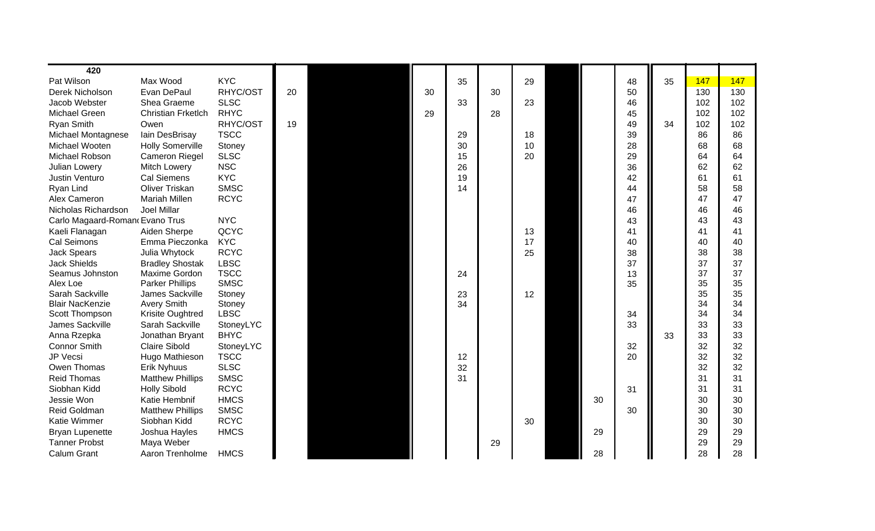| 420                            |                           |             |    |    |    |    |    |    |    |    |     |     |
|--------------------------------|---------------------------|-------------|----|----|----|----|----|----|----|----|-----|-----|
| Pat Wilson                     | Max Wood                  | <b>KYC</b>  |    |    | 35 |    | 29 |    | 48 | 35 | 147 | 147 |
| Derek Nicholson                | Evan DePaul               | RHYC/OST    | 20 | 30 |    | 30 |    |    | 50 |    | 130 | 130 |
| Jacob Webster                  | Shea Graeme               | <b>SLSC</b> |    |    | 33 |    | 23 |    | 46 |    | 102 | 102 |
| <b>Michael Green</b>           | <b>Christian Frketlch</b> | <b>RHYC</b> |    | 29 |    | 28 |    |    | 45 |    | 102 | 102 |
| <b>Ryan Smith</b>              | Owen                      | RHYC/OST    | 19 |    |    |    |    |    | 49 | 34 | 102 | 102 |
| Michael Montagnese             | lain DesBrisay            | <b>TSCC</b> |    |    | 29 |    | 18 |    | 39 |    | 86  | 86  |
| Michael Wooten                 | <b>Holly Somerville</b>   | Stoney      |    |    | 30 |    | 10 |    | 28 |    | 68  | 68  |
| Michael Robson                 | <b>Cameron Riegel</b>     | <b>SLSC</b> |    |    | 15 |    | 20 |    | 29 |    | 64  | 64  |
| Julian Lowery                  | Mitch Lowery              | <b>NSC</b>  |    |    | 26 |    |    |    | 36 |    | 62  | 62  |
| Justin Venturo                 | <b>Cal Siemens</b>        | <b>KYC</b>  |    |    | 19 |    |    |    | 42 |    | 61  | 61  |
| Ryan Lind                      | <b>Oliver Triskan</b>     | <b>SMSC</b> |    |    | 14 |    |    |    | 44 |    | 58  | 58  |
| Alex Cameron                   | <b>Mariah Millen</b>      | <b>RCYC</b> |    |    |    |    |    |    | 47 |    | 47  | 47  |
| Nicholas Richardson            | Joel Millar               |             |    |    |    |    |    |    | 46 |    | 46  | 46  |
| Carlo Magaard-Roman Evano Trus |                           | <b>NYC</b>  |    |    |    |    |    |    | 43 |    | 43  | 43  |
| Kaeli Flanagan                 | Aiden Sherpe              | QCYC        |    |    |    |    | 13 |    | 41 |    | 41  | 41  |
| Cal Seimons                    | Emma Pieczonka            | <b>KYC</b>  |    |    |    |    | 17 |    | 40 |    | 40  | 40  |
| <b>Jack Spears</b>             | Julia Whytock             | <b>RCYC</b> |    |    |    |    | 25 |    | 38 |    | 38  | 38  |
| <b>Jack Shields</b>            | <b>Bradley Shostak</b>    | <b>LBSC</b> |    |    |    |    |    |    | 37 |    | 37  | 37  |
| Seamus Johnston                | <b>Maxime Gordon</b>      | <b>TSCC</b> |    |    | 24 |    |    |    | 13 |    | 37  | 37  |
| Alex Loe                       | <b>Parker Phillips</b>    | <b>SMSC</b> |    |    |    |    |    |    | 35 |    | 35  | 35  |
| Sarah Sackville                | James Sackville           | Stoney      |    |    | 23 |    | 12 |    |    |    | 35  | 35  |
| <b>Blair NacKenzie</b>         | <b>Avery Smith</b>        | Stoney      |    |    | 34 |    |    |    |    |    | 34  | 34  |
| Scott Thompson                 | Krisite Oughtred          | <b>LBSC</b> |    |    |    |    |    |    | 34 |    | 34  | 34  |
| James Sackville                | Sarah Sackville           | StoneyLYC   |    |    |    |    |    |    | 33 |    | 33  | 33  |
| Anna Rzepka                    | Jonathan Bryant           | <b>BHYC</b> |    |    |    |    |    |    |    | 33 | 33  | 33  |
| <b>Connor Smith</b>            | <b>Claire Sibold</b>      | StoneyLYC   |    |    |    |    |    |    | 32 |    | 32  | 32  |
| JP Vecsi                       | Hugo Mathieson            | <b>TSCC</b> |    |    | 12 |    |    |    | 20 |    | 32  | 32  |
| Owen Thomas                    | <b>Erik Nyhuus</b>        | <b>SLSC</b> |    |    | 32 |    |    |    |    |    | 32  | 32  |
| <b>Reid Thomas</b>             | <b>Matthew Phillips</b>   | <b>SMSC</b> |    |    | 31 |    |    |    |    |    | 31  | 31  |
| Siobhan Kidd                   | <b>Holly Sibold</b>       | <b>RCYC</b> |    |    |    |    |    |    | 31 |    | 31  | 31  |
| Jessie Won                     | Katie Hembnif             | <b>HMCS</b> |    |    |    |    |    | 30 |    |    | 30  | 30  |
| Reid Goldman                   | <b>Matthew Phillips</b>   | <b>SMSC</b> |    |    |    |    |    |    | 30 |    | 30  | 30  |
| <b>Katie Wimmer</b>            | Siobhan Kidd              | <b>RCYC</b> |    |    |    |    | 30 |    |    |    | 30  | 30  |
| <b>Bryan Lupenette</b>         | Joshua Hayles             | <b>HMCS</b> |    |    |    |    |    | 29 |    |    | 29  | 29  |
| <b>Tanner Probst</b>           | Maya Weber                |             |    |    |    | 29 |    |    |    |    | 29  | 29  |
| Calum Grant                    | Aaron Trenholme           | <b>HMCS</b> |    |    |    |    |    | 28 |    |    | 28  | 28  |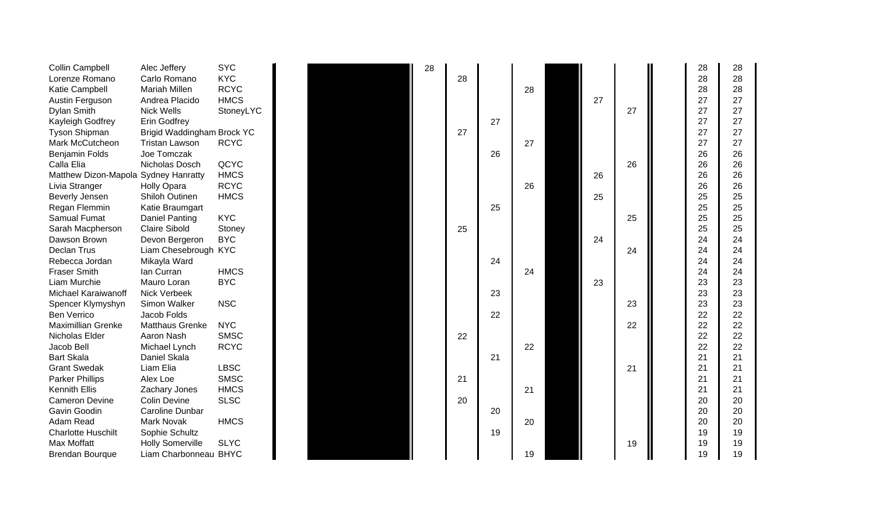| <b>Collin Campbell</b>               | Alec Jeffery               | SYC         |
|--------------------------------------|----------------------------|-------------|
| Lorenze Romano                       | Carlo Romano               | KYC         |
| Katie Campbell                       | Mariah Millen              | <b>RCYC</b> |
| Austin Ferguson                      | Andrea Placido             | <b>HMCS</b> |
| Dylan Smith                          | <b>Nick Wells</b>          | StoneyLYC   |
| Kayleigh Godfrey                     | <b>Erin Godfrey</b>        |             |
| Tyson Shipman                        | Brigid Waddingham Brock YC |             |
| Mark McCutcheon                      | <b>Tristan Lawson</b>      | <b>RCYC</b> |
| Benjamin Folds                       | Joe Tomczak                |             |
| Calla Elia                           | Nicholas Dosch             | QCYC        |
| Matthew Dizon-Mapola Sydney Hanratty |                            | <b>HMCS</b> |
| Livia Stranger                       | <b>Holly Opara</b>         | <b>RCYC</b> |
| Beverly Jensen                       | <b>Shiloh Outinen</b>      | <b>HMCS</b> |
| Regan Flemmin                        | Katie Braumgart            |             |
| <b>Samual Fumat</b>                  | <b>Daniel Panting</b>      | <b>KYC</b>  |
| Sarah Macpherson                     | <b>Claire Sibold</b>       | Stoney      |
| Dawson Brown                         | Devon Bergeron             | <b>BYC</b>  |
| Declan Trus                          | Liam Chesebrough           | <b>KYC</b>  |
| Rebecca Jordan                       | Mikayla Ward               |             |
| <b>Fraser Smith</b>                  | Ian Curran                 | HMCS        |
| Liam Murchie                         | Mauro Loran                | <b>BYC</b>  |
| Michael Karaiwanoff                  | <b>Nick Verbeek</b>        |             |
| Spencer Klymyshyn                    | <b>Simon Walker</b>        | <b>NSC</b>  |
| <b>Ben Verrico</b>                   | Jacob Folds                |             |
| Maximillian Grenke                   | <b>Matthaus Grenke</b>     | <b>NYC</b>  |
| Nicholas Elder                       | Aaron Nash                 | <b>SMSC</b> |
| Jacob Bell                           | Michael Lynch              | <b>RCYC</b> |
| <b>Bart Skala</b>                    | Daniel Skala               |             |
| <b>Grant Swedak</b>                  | Liam Elia                  | <b>LBSC</b> |
| <b>Parker Phillips</b>               | Alex Loe                   | <b>SMSC</b> |
| <b>Kennith Ellis</b>                 | Zachary Jones              | <b>HMCS</b> |
| <b>Cameron Devine</b>                | <b>Colin Devine</b>        | <b>SLSC</b> |
| Gavin Goodin                         | Caroline Dunbar            |             |
| Adam Read                            | Mark Novak                 | <b>HMCS</b> |
| <b>Charlotte Huschilt</b>            | Sophie Schultz             |             |
| Max Moffatt                          | <b>Holly Somerville</b>    | SLYC        |
| <b>Brendan Bourque</b>               | Liam Charbonneau BHYC      |             |



| Collin Campbell                      | Alec Jeffery               | <b>SYC</b>  |  | 28 |    |    |    |    |    | 28 | 28 |
|--------------------------------------|----------------------------|-------------|--|----|----|----|----|----|----|----|----|
| Lorenze Romano                       | Carlo Romano               | <b>KYC</b>  |  |    | 28 |    |    |    |    | 28 | 28 |
| Katie Campbell                       | <b>Mariah Millen</b>       | <b>RCYC</b> |  |    |    |    | 28 |    |    | 28 | 28 |
| Austin Ferguson                      | Andrea Placido             | <b>HMCS</b> |  |    |    |    |    | 27 |    | 27 | 27 |
| Dylan Smith                          | <b>Nick Wells</b>          | StoneyLYC   |  |    |    |    |    |    | 27 | 27 | 27 |
| Kayleigh Godfrey                     | <b>Erin Godfrey</b>        |             |  |    |    | 27 |    |    |    | 27 | 27 |
| <b>Tyson Shipman</b>                 | Brigid Waddingham Brock YC |             |  |    | 27 |    |    |    |    | 27 | 27 |
| Mark McCutcheon                      | <b>Tristan Lawson</b>      | <b>RCYC</b> |  |    |    |    | 27 |    |    | 27 | 27 |
| <b>Benjamin Folds</b>                | Joe Tomczak                |             |  |    |    | 26 |    |    |    | 26 | 26 |
| Calla Elia                           | Nicholas Dosch             | QCYC        |  |    |    |    |    |    | 26 | 26 | 26 |
| Matthew Dizon-Mapola Sydney Hanratty |                            | <b>HMCS</b> |  |    |    |    |    | 26 |    | 26 | 26 |
| Livia Stranger                       | <b>Holly Opara</b>         | <b>RCYC</b> |  |    |    |    | 26 |    |    | 26 | 26 |
| Beverly Jensen                       | Shiloh Outinen             | <b>HMCS</b> |  |    |    |    |    | 25 |    | 25 | 25 |
| Regan Flemmin                        | Katie Braumgart            |             |  |    |    | 25 |    |    |    | 25 | 25 |
| Samual Fumat                         | <b>Daniel Panting</b>      | <b>KYC</b>  |  |    |    |    |    |    | 25 | 25 | 25 |
| Sarah Macpherson                     | <b>Claire Sibold</b>       | Stoney      |  |    | 25 |    |    |    |    | 25 | 25 |
| Dawson Brown                         | Devon Bergeron             | <b>BYC</b>  |  |    |    |    |    | 24 |    | 24 | 24 |
| Declan Trus                          | Liam Chesebrough KYC       |             |  |    |    |    |    |    | 24 | 24 | 24 |
| Rebecca Jordan                       | Mikayla Ward               |             |  |    |    | 24 |    |    |    | 24 | 24 |
| <b>Fraser Smith</b>                  | Ian Curran                 | <b>HMCS</b> |  |    |    |    | 24 |    |    | 24 | 24 |
| Liam Murchie                         | Mauro Loran                | <b>BYC</b>  |  |    |    |    |    | 23 |    | 23 | 23 |
| Michael Karaiwanoff                  | <b>Nick Verbeek</b>        |             |  |    |    | 23 |    |    |    | 23 | 23 |
| Spencer Klymyshyn                    | Simon Walker               | <b>NSC</b>  |  |    |    |    |    |    | 23 | 23 | 23 |
| <b>Ben Verrico</b>                   | Jacob Folds                |             |  |    |    | 22 |    |    |    | 22 | 22 |
| Maximillian Grenke                   | <b>Matthaus Grenke</b>     | <b>NYC</b>  |  |    |    |    |    |    | 22 | 22 | 22 |
| Nicholas Elder                       | Aaron Nash                 | <b>SMSC</b> |  |    | 22 |    |    |    |    | 22 | 22 |
| Jacob Bell                           | Michael Lynch              | <b>RCYC</b> |  |    |    |    | 22 |    |    | 22 | 22 |
| Bart Skala                           | Daniel Skala               |             |  |    |    | 21 |    |    |    | 21 | 21 |
| <b>Grant Swedak</b>                  | Liam Elia                  | <b>LBSC</b> |  |    |    |    |    |    | 21 | 21 | 21 |
| <b>Parker Phillips</b>               | Alex Loe                   | <b>SMSC</b> |  |    | 21 |    |    |    |    | 21 | 21 |
| Kennith Ellis                        | Zachary Jones              | <b>HMCS</b> |  |    |    |    | 21 |    |    | 21 | 21 |
| <b>Cameron Devine</b>                | <b>Colin Devine</b>        | <b>SLSC</b> |  |    | 20 |    |    |    |    | 20 | 20 |
| Gavin Goodin                         | Caroline Dunbar            |             |  |    |    | 20 |    |    |    | 20 | 20 |
| Adam Read                            | <b>Mark Novak</b>          | <b>HMCS</b> |  |    |    |    | 20 |    |    | 20 | 20 |
| <b>Charlotte Huschilt</b>            | Sophie Schultz             |             |  |    |    | 19 |    |    |    | 19 | 19 |
| Max Moffatt                          | <b>Holly Somerville</b>    | <b>SLYC</b> |  |    |    |    |    |    | 19 | 19 | 19 |
| <b>Brendan Bourque</b>               | Liam Charbonneau BHYC      |             |  |    |    |    | 19 |    |    | 19 | 19 |
|                                      |                            |             |  |    |    |    |    |    |    |    |    |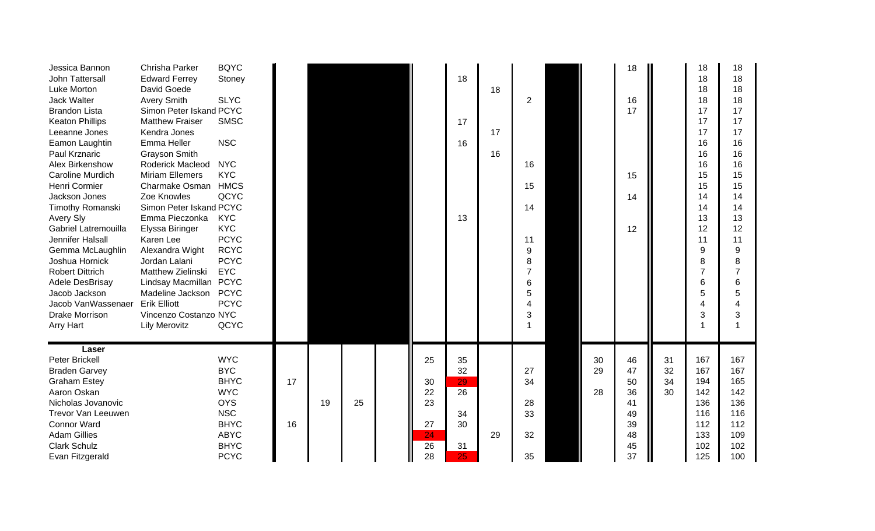| Jessica Bannon<br>John Tattersall<br>Luke Morton<br>Jack Walter<br><b>Brandon Lista</b><br><b>Keaton Phillips</b><br>Leeanne Jones<br>Eamon Laughtin<br><b>Paul Krznaric</b><br>Alex Birkenshow<br>Caroline Murdich<br>Henri Cormier<br>Jackson Jones<br>Timothy Romanski<br><b>Avery Sly</b><br>Gabriel Latremouilla<br>Jennifer Halsall<br>Gemma McLaughlin<br>Joshua Hornick<br><b>Robert Dittrich</b><br>Adele DesBrisay<br>Jacob Jackson<br>Jacob VanWassenaer<br><b>Drake Morrison</b><br><b>Arry Hart</b> | Chrisha Parker<br><b>Edward Ferrey</b><br>David Goede<br><b>Avery Smith</b><br>Simon Peter Iskand PCYC<br><b>Matthew Fraiser</b><br>Kendra Jones<br>Emma Heller<br>Grayson Smith<br><b>Roderick Macleod</b><br><b>Miriam Ellemers</b><br>Charmake Osman HMCS<br>Zoe Knowles<br>Simon Peter Iskand PCYC<br>Emma Pieczonka<br>Elyssa Biringer<br>Karen Lee<br>Alexandra Wight<br>Jordan Lalani<br>Matthew Zielinski<br>Lindsay Macmillan PCYC<br>Madeline Jackson PCYC<br><b>Erik Elliott</b><br>Vincenzo Costanzo NYC<br><b>Lily Merovitz</b> | <b>BQYC</b><br>Stoney<br><b>SLYC</b><br><b>SMSC</b><br><b>NSC</b><br><b>NYC</b><br><b>KYC</b><br>QCYC<br><b>KYC</b><br><b>KYC</b><br><b>PCYC</b><br><b>RCYC</b><br><b>PCYC</b><br><b>EYC</b><br><b>PCYC</b><br>QCYC |          |    |    |                                              | 18<br>17<br>16<br>13                                      | 18<br>17<br>16 | 2<br>16<br>15<br>14<br>11<br>9<br>8<br>$\overline{7}$<br>6<br>5<br>$\boldsymbol{\Delta}$<br>3 |                | 18<br>16<br>17<br>15<br>14<br>12                         |                      | 18<br>18<br>18<br>18<br>17<br>17<br>17<br>16<br>16<br>16<br>15<br>15<br>14<br>14<br>13<br>12<br>11<br>9<br>8<br>6<br>5<br>3 | 18<br>18<br>18<br>18<br>17<br>17<br>17<br>16<br>16<br>16<br>15<br>15<br>14<br>14<br>13<br>12<br>11<br>9<br>8<br>$\overline{7}$<br>6<br>5<br>4<br>3 |
|------------------------------------------------------------------------------------------------------------------------------------------------------------------------------------------------------------------------------------------------------------------------------------------------------------------------------------------------------------------------------------------------------------------------------------------------------------------------------------------------------------------|----------------------------------------------------------------------------------------------------------------------------------------------------------------------------------------------------------------------------------------------------------------------------------------------------------------------------------------------------------------------------------------------------------------------------------------------------------------------------------------------------------------------------------------------|---------------------------------------------------------------------------------------------------------------------------------------------------------------------------------------------------------------------|----------|----|----|----------------------------------------------|-----------------------------------------------------------|----------------|-----------------------------------------------------------------------------------------------|----------------|----------------------------------------------------------|----------------------|-----------------------------------------------------------------------------------------------------------------------------|----------------------------------------------------------------------------------------------------------------------------------------------------|
| Laser<br><b>Peter Brickell</b><br><b>Braden Garvey</b><br><b>Graham Estey</b><br>Aaron Oskan<br>Nicholas Jovanovic<br>Trevor Van Leeuwen<br><b>Connor Ward</b><br><b>Adam Gillies</b><br><b>Clark Schulz</b><br>Evan Fitzgerald                                                                                                                                                                                                                                                                                  |                                                                                                                                                                                                                                                                                                                                                                                                                                                                                                                                              | <b>WYC</b><br><b>BYC</b><br><b>BHYC</b><br><b>WYC</b><br><b>OYS</b><br><b>NSC</b><br><b>BHYC</b><br><b>ABYC</b><br><b>BHYC</b><br><b>PCYC</b>                                                                       | 17<br>16 | 19 | 25 | 25<br>30<br>22<br>23<br>27<br>24<br>26<br>28 | 35<br>32<br>29<br>26<br>34<br>30<br>31<br>25 <sub>1</sub> | 29             | 27<br>34<br>28<br>33<br>32<br>35                                                              | 30<br>29<br>28 | 46<br>47<br>50<br>36<br>41<br>49<br>39<br>48<br>45<br>37 | 31<br>32<br>34<br>30 | 167<br>167<br>194<br>142<br>136<br>116<br>112<br>133<br>102<br>125                                                          | 167<br>167<br>165<br>142<br>136<br>116<br>112<br>109<br>102<br>100                                                                                 |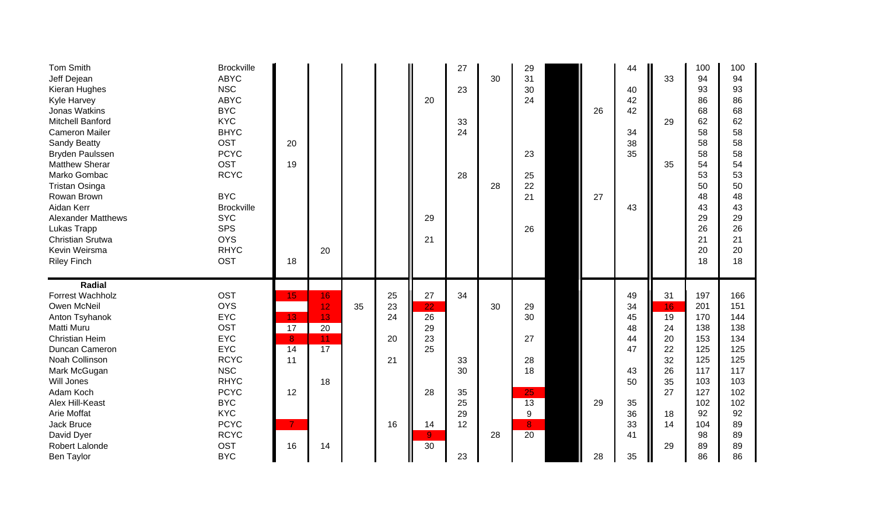| <b>Tom Smith</b><br>Jeff Dejean<br>Kieran Hughes<br><b>Kyle Harvey</b><br>Jonas Watkins<br><b>Mitchell Banford</b><br><b>Cameron Mailer</b><br>Sandy Beatty<br><b>Bryden Paulssen</b><br><b>Matthew Sherar</b><br>Marko Gombac<br><b>Tristan Osinga</b><br>Rowan Brown<br>Aidan Kerr<br><b>Alexander Matthews</b><br>Lukas Trapp<br><b>Christian Srutwa</b><br>Kevin Weirsma<br><b>Riley Finch</b> | <b>Brockville</b><br><b>ABYC</b><br><b>NSC</b><br><b>ABYC</b><br><b>BYC</b><br><b>KYC</b><br><b>BHYC</b><br>OST<br><b>PCYC</b><br>OST<br><b>RCYC</b><br><b>BYC</b><br><b>Brockville</b><br><b>SYC</b><br><b>SPS</b><br><b>OYS</b><br><b>RHYC</b><br><b>OST</b> | 20<br>19<br>18 | 20 |    |    | 20<br>29<br>21                    | 27<br>23<br>33<br>24<br>28 | 30<br>28 | 29<br>31<br>30<br>24<br>23<br>25<br>22<br>21<br>26 | 26<br>27 | 44<br>40<br>42<br>42<br>34<br>38<br>35<br>43 | 33<br>29<br>35 | 100<br>94<br>93<br>86<br>68<br>62<br>58<br>58<br>58<br>54<br>53<br>50<br>48<br>43<br>29<br>26<br>21<br>20<br>18 | 100<br>94<br>93<br>86<br>68<br>62<br>58<br>58<br>58<br>54<br>53<br>50<br>48<br>43<br>29<br>26<br>21<br>20<br>18 |
|----------------------------------------------------------------------------------------------------------------------------------------------------------------------------------------------------------------------------------------------------------------------------------------------------------------------------------------------------------------------------------------------------|----------------------------------------------------------------------------------------------------------------------------------------------------------------------------------------------------------------------------------------------------------------|----------------|----|----|----|-----------------------------------|----------------------------|----------|----------------------------------------------------|----------|----------------------------------------------|----------------|-----------------------------------------------------------------------------------------------------------------|-----------------------------------------------------------------------------------------------------------------|
| Radial<br>Forrest Wachholz                                                                                                                                                                                                                                                                                                                                                                         | <b>OST</b>                                                                                                                                                                                                                                                     | 15             | 16 |    | 25 | $27\,$                            | 34                         |          |                                                    |          | 49                                           | 31             | 197                                                                                                             | 166                                                                                                             |
| Owen McNeil                                                                                                                                                                                                                                                                                                                                                                                        | <b>OYS</b>                                                                                                                                                                                                                                                     |                | 12 | 35 | 23 | 22                                |                            | 30       | 29                                                 |          | 34                                           | 16             | 201                                                                                                             | 151                                                                                                             |
| Anton Tsyhanok                                                                                                                                                                                                                                                                                                                                                                                     | <b>EYC</b>                                                                                                                                                                                                                                                     | 13             |    |    |    |                                   |                            |          |                                                    |          |                                              |                |                                                                                                                 |                                                                                                                 |
| Matti Muru                                                                                                                                                                                                                                                                                                                                                                                         |                                                                                                                                                                                                                                                                |                | 13 |    | 24 | $\overline{26}$                   |                            |          | 30                                                 |          | 45                                           | 19             | 170                                                                                                             | 144                                                                                                             |
|                                                                                                                                                                                                                                                                                                                                                                                                    | <b>OST</b>                                                                                                                                                                                                                                                     | 17             | 20 |    |    | 29                                |                            |          |                                                    |          | 48                                           | 24             | 138                                                                                                             | 138                                                                                                             |
| <b>Christian Heim</b>                                                                                                                                                                                                                                                                                                                                                                              | <b>EYC</b>                                                                                                                                                                                                                                                     | 8              | 11 |    | 20 | 23                                |                            |          | 27                                                 |          | 44                                           | 20             | 153                                                                                                             | 134                                                                                                             |
| Duncan Cameron                                                                                                                                                                                                                                                                                                                                                                                     | <b>EYC</b>                                                                                                                                                                                                                                                     | 14             | 17 |    |    | 25                                |                            |          |                                                    |          | 47                                           | 22             | 125                                                                                                             | 125                                                                                                             |
| Noah Collinson                                                                                                                                                                                                                                                                                                                                                                                     | <b>RCYC</b>                                                                                                                                                                                                                                                    | 11             |    |    | 21 |                                   | 33                         |          | 28                                                 |          |                                              | 32             | 125                                                                                                             | 125                                                                                                             |
| Mark McGugan                                                                                                                                                                                                                                                                                                                                                                                       | <b>NSC</b>                                                                                                                                                                                                                                                     |                |    |    |    |                                   | 30                         |          | 18                                                 |          | 43                                           | 26             | 117                                                                                                             | 117                                                                                                             |
| Will Jones                                                                                                                                                                                                                                                                                                                                                                                         | <b>RHYC</b>                                                                                                                                                                                                                                                    |                | 18 |    |    |                                   |                            |          |                                                    |          | 50                                           | 35             | 103                                                                                                             | 103                                                                                                             |
| Adam Koch                                                                                                                                                                                                                                                                                                                                                                                          | <b>PCYC</b>                                                                                                                                                                                                                                                    | 12             |    |    |    | 28                                | 35                         |          | 25                                                 |          |                                              | 27             | 127                                                                                                             | 102                                                                                                             |
| Alex Hill-Keast                                                                                                                                                                                                                                                                                                                                                                                    | <b>BYC</b>                                                                                                                                                                                                                                                     |                |    |    |    |                                   | 25                         |          | 13                                                 | 29       | 35                                           |                | 102                                                                                                             | 102                                                                                                             |
| Arie Moffat                                                                                                                                                                                                                                                                                                                                                                                        | <b>KYC</b>                                                                                                                                                                                                                                                     |                |    |    |    |                                   | 29                         |          | 9                                                  |          | 36                                           | 18             | 92                                                                                                              | 92                                                                                                              |
| Jack Bruce                                                                                                                                                                                                                                                                                                                                                                                         | <b>PCYC</b>                                                                                                                                                                                                                                                    | $\mathbf{7}$   |    |    | 16 | 14                                | 12                         |          | 8                                                  |          | 33                                           | 14             | 104                                                                                                             | 89                                                                                                              |
| David Dyer<br>Robert Lalonde                                                                                                                                                                                                                                                                                                                                                                       | <b>RCYC</b><br><b>OST</b>                                                                                                                                                                                                                                      | 16             | 14 |    |    | 9 <sub>o</sub><br>$\overline{30}$ |                            | 28       | 20                                                 |          | 41                                           | 29             | 98<br>89                                                                                                        | 89<br>89                                                                                                        |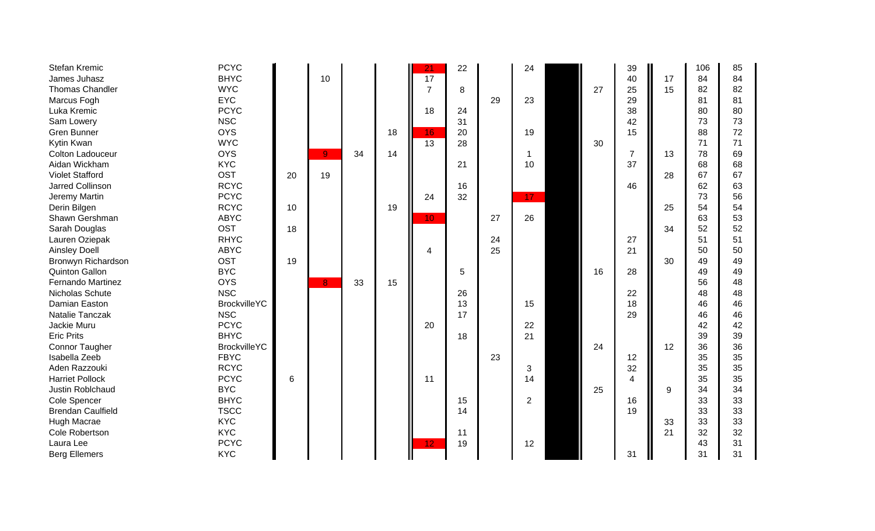| Stefan Kremic            | <b>PCYC</b>         |    |                |    |    | $\overline{21}$ | 22 |    | 24 |    | 39                      |    | 106 | 85 |
|--------------------------|---------------------|----|----------------|----|----|-----------------|----|----|----|----|-------------------------|----|-----|----|
| James Juhasz             | <b>BHYC</b>         |    | 10             |    |    | $\overline{17}$ |    |    |    |    | 40                      | 17 | 84  | 84 |
| <b>Thomas Chandler</b>   | <b>WYC</b>          |    |                |    |    | $\overline{7}$  | 8  |    |    | 27 | 25                      | 15 | 82  | 82 |
| Marcus Fogh              | <b>EYC</b>          |    |                |    |    |                 |    | 29 | 23 |    | 29                      |    | 81  | 81 |
| Luka Kremic              | <b>PCYC</b>         |    |                |    |    | 18              | 24 |    |    |    | 38                      |    | 80  | 80 |
| Sam Lowery               | <b>NSC</b>          |    |                |    |    |                 | 31 |    |    |    | 42                      |    | 73  | 73 |
| Gren Bunner              | <b>OYS</b>          |    |                |    | 18 | 16              | 20 |    | 19 |    | 15                      |    | 88  | 72 |
| Kytin Kwan               | <b>WYC</b>          |    |                |    |    | $\overline{13}$ | 28 |    |    | 30 |                         |    | 71  | 71 |
| Colton Ladouceur         | <b>OYS</b>          |    | 9 <sub>1</sub> | 34 | 14 |                 |    |    | -1 |    | $\overline{7}$          | 13 | 78  | 69 |
| Aidan Wickham            | <b>KYC</b>          |    |                |    |    |                 | 21 |    | 10 |    | 37                      |    | 68  | 68 |
| <b>Violet Stafford</b>   | <b>OST</b>          | 20 | 19             |    |    |                 |    |    |    |    |                         | 28 | 67  | 67 |
| <b>Jarred Collinson</b>  | <b>RCYC</b>         |    |                |    |    |                 | 16 |    |    |    | 46                      |    | 62  | 63 |
| Jeremy Martin            | <b>PCYC</b>         |    |                |    |    | 24              | 32 |    | 17 |    |                         |    | 73  | 56 |
| Derin Bilgen             | <b>RCYC</b>         | 10 |                |    | 19 |                 |    |    |    |    |                         | 25 | 54  | 54 |
| Shawn Gershman           | <b>ABYC</b>         |    |                |    |    | 10 <sub>1</sub> |    | 27 | 26 |    |                         |    | 63  | 53 |
| Sarah Douglas            | <b>OST</b>          | 18 |                |    |    |                 |    |    |    |    |                         | 34 | 52  | 52 |
| Lauren Oziepak           | <b>RHYC</b>         |    |                |    |    |                 |    | 24 |    |    | 27                      |    | 51  | 51 |
| <b>Ainsley Doell</b>     | <b>ABYC</b>         |    |                |    |    | 4               |    | 25 |    |    | 21                      |    | 50  | 50 |
| Bronwyn Richardson       | <b>OST</b>          | 19 |                |    |    |                 |    |    |    |    |                         | 30 | 49  | 49 |
| <b>Quinton Gallon</b>    | <b>BYC</b>          |    |                |    |    |                 | 5  |    |    | 16 | 28                      |    | 49  | 49 |
| <b>Fernando Martinez</b> | <b>OYS</b>          |    | 8 <sub>1</sub> | 33 | 15 |                 |    |    |    |    |                         |    | 56  | 48 |
| Nicholas Schute          | <b>NSC</b>          |    |                |    |    |                 | 26 |    |    |    | 22                      |    | 48  | 48 |
| Damian Easton            | <b>BrockvilleYC</b> |    |                |    |    |                 | 13 |    | 15 |    | 18                      |    | 46  | 46 |
| Natalie Tanczak          | <b>NSC</b>          |    |                |    |    |                 | 17 |    |    |    | 29                      |    | 46  | 46 |
| Jackie Muru              | <b>PCYC</b>         |    |                |    |    | 20              |    |    | 22 |    |                         |    | 42  | 42 |
| <b>Eric Prits</b>        | <b>BHYC</b>         |    |                |    |    |                 | 18 |    | 21 |    |                         |    | 39  | 39 |
| Connor Taugher           | <b>BrockvilleYC</b> |    |                |    |    |                 |    |    |    | 24 |                         | 12 | 36  | 36 |
| Isabella Zeeb            | <b>FBYC</b>         |    |                |    |    |                 |    | 23 |    |    | 12                      |    | 35  | 35 |
| Aden Razzouki            | <b>RCYC</b>         |    |                |    |    |                 |    |    | 3  |    | 32                      |    | 35  | 35 |
| <b>Harriet Pollock</b>   | <b>PCYC</b>         | 6  |                |    |    | 11              |    |    | 14 |    | $\overline{\mathbf{4}}$ |    | 35  | 35 |
| Justin Roblchaud         | <b>BYC</b>          |    |                |    |    |                 |    |    |    | 25 |                         | 9  | 34  | 34 |
| Cole Spencer             | <b>BHYC</b>         |    |                |    |    |                 | 15 |    | 2  |    | 16                      |    | 33  | 33 |
| <b>Brendan Caulfield</b> | <b>TSCC</b>         |    |                |    |    |                 | 14 |    |    |    | 19                      |    | 33  | 33 |
| Hugh Macrae              | <b>KYC</b>          |    |                |    |    |                 |    |    |    |    |                         | 33 | 33  | 33 |
| Cole Robertson           | <b>KYC</b>          |    |                |    |    |                 | 11 |    |    |    |                         | 21 | 32  | 32 |
| Laura Lee                | <b>PCYC</b>         |    |                |    |    | 12 <sub>1</sub> | 19 |    | 12 |    |                         |    | 43  | 31 |
| <b>Berg Ellemers</b>     | <b>KYC</b>          |    |                |    |    |                 |    |    |    |    | 31                      |    | 31  | 31 |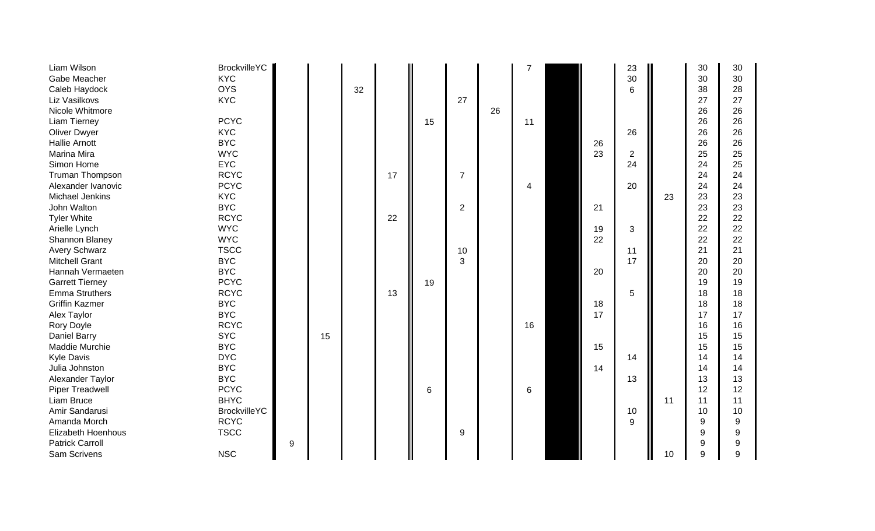| Liam Wilson               | <b>BrockvilleYC</b> |   |    |    |    |    |                |    |    |    | 23             |    | 30 | 30 |
|---------------------------|---------------------|---|----|----|----|----|----------------|----|----|----|----------------|----|----|----|
| Gabe Meacher              | <b>KYC</b>          |   |    |    |    |    |                |    |    |    | 30             |    | 30 | 30 |
| Caleb Haydock             | <b>OYS</b>          |   |    | 32 |    |    |                |    |    |    | 6              |    | 38 | 28 |
| Liz Vasilkovs             | <b>KYC</b>          |   |    |    |    |    | 27             |    |    |    |                |    | 27 | 27 |
| Nicole Whitmore           |                     |   |    |    |    |    |                | 26 |    |    |                |    | 26 | 26 |
| Liam Tierney              | <b>PCYC</b>         |   |    |    |    | 15 |                |    | 11 |    |                |    | 26 | 26 |
| <b>Oliver Dwyer</b>       | <b>KYC</b>          |   |    |    |    |    |                |    |    |    | 26             |    | 26 | 26 |
| <b>Hallie Arnott</b>      | <b>BYC</b>          |   |    |    |    |    |                |    |    | 26 |                |    | 26 | 26 |
| Marina Mira               | <b>WYC</b>          |   |    |    |    |    |                |    |    | 23 | $\overline{2}$ |    | 25 | 25 |
| Simon Home                | <b>EYC</b>          |   |    |    |    |    |                |    |    |    | 24             |    | 24 | 25 |
| Truman Thompson           | <b>RCYC</b>         |   |    |    | 17 |    | $\overline{7}$ |    |    |    |                |    | 24 | 24 |
| Alexander Ivanovic        | <b>PCYC</b>         |   |    |    |    |    |                |    | 4  |    | 20             |    | 24 | 24 |
| Michael Jenkins           | <b>KYC</b>          |   |    |    |    |    |                |    |    |    |                | 23 | 23 | 23 |
| John Walton               | <b>BYC</b>          |   |    |    |    |    | $\overline{2}$ |    |    | 21 |                |    | 23 | 23 |
| <b>Tyler White</b>        | <b>RCYC</b>         |   |    |    | 22 |    |                |    |    |    |                |    | 22 | 22 |
| Arielle Lynch             | <b>WYC</b>          |   |    |    |    |    |                |    |    | 19 | 3              |    | 22 | 22 |
| Shannon Blaney            | <b>WYC</b>          |   |    |    |    |    |                |    |    | 22 |                |    | 22 | 22 |
| <b>Avery Schwarz</b>      | <b>TSCC</b>         |   |    |    |    |    | 10             |    |    |    | 11             |    | 21 | 21 |
| <b>Mitchell Grant</b>     | <b>BYC</b>          |   |    |    |    |    | 3              |    |    |    | 17             |    | 20 | 20 |
| Hannah Vermaeten          | <b>BYC</b>          |   |    |    |    |    |                |    |    | 20 |                |    | 20 | 20 |
| <b>Garrett Tierney</b>    | <b>PCYC</b>         |   |    |    |    | 19 |                |    |    |    |                |    | 19 | 19 |
| <b>Emma Struthers</b>     | <b>RCYC</b>         |   |    |    | 13 |    |                |    |    |    | 5              |    | 18 | 18 |
| <b>Griffin Kazmer</b>     | <b>BYC</b>          |   |    |    |    |    |                |    |    | 18 |                |    | 18 | 18 |
| Alex Taylor               | <b>BYC</b>          |   |    |    |    |    |                |    |    | 17 |                |    | 17 | 17 |
| Rory Doyle                | <b>RCYC</b>         |   |    |    |    |    |                |    | 16 |    |                |    | 16 | 16 |
| Daniel Barry              | <b>SYC</b>          |   | 15 |    |    |    |                |    |    |    |                |    | 15 | 15 |
| Maddie Murchie            | <b>BYC</b>          |   |    |    |    |    |                |    |    | 15 |                |    | 15 | 15 |
| <b>Kyle Davis</b>         | <b>DYC</b>          |   |    |    |    |    |                |    |    |    | 14             |    | 14 | 14 |
| Julia Johnston            | <b>BYC</b>          |   |    |    |    |    |                |    |    | 14 |                |    | 14 | 14 |
| Alexander Taylor          | <b>BYC</b>          |   |    |    |    |    |                |    |    |    | 13             |    | 13 | 13 |
| <b>Piper Treadwell</b>    | <b>PCYC</b>         |   |    |    |    | 6  |                |    | 6  |    |                |    | 12 | 12 |
| Liam Bruce                | <b>BHYC</b>         |   |    |    |    |    |                |    |    |    |                | 11 | 11 | 11 |
| Amir Sandarusi            | <b>BrockvilleYC</b> |   |    |    |    |    |                |    |    |    | 10             |    | 10 | 10 |
| Amanda Morch              | <b>RCYC</b>         |   |    |    |    |    |                |    |    |    | 9              |    | 9  | 9  |
| <b>Elizabeth Hoenhous</b> | <b>TSCC</b>         |   |    |    |    |    | 9              |    |    |    |                |    | 9  | 9  |
| <b>Patrick Carroll</b>    |                     | 9 |    |    |    |    |                |    |    |    |                |    | 9  | 9  |
| Sam Scrivens              | <b>NSC</b>          |   |    |    |    |    |                |    |    |    |                | 10 | 9  | 9  |